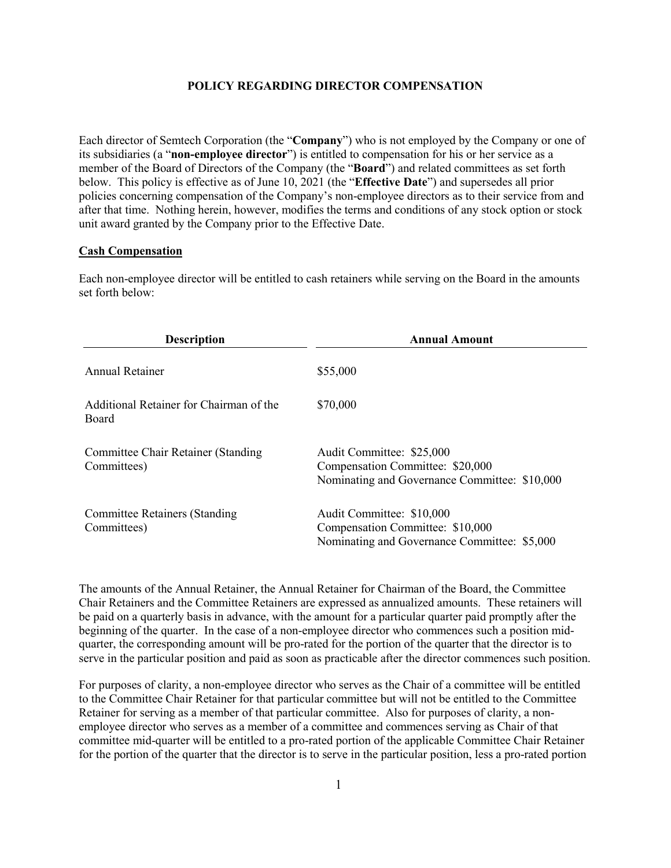### **POLICY REGARDING DIRECTOR COMPENSATION**

Each director of Semtech Corporation (the "**Company**") who is not employed by the Company or one of its subsidiaries (a "**non-employee director**") is entitled to compensation for his or her service as a member of the Board of Directors of the Company (the "**Board**") and related committees as set forth below. This policy is effective as of June 10, 2021 (the "**Effective Date**") and supersedes all prior policies concerning compensation of the Company's non-employee directors as to their service from and after that time. Nothing herein, however, modifies the terms and conditions of any stock option or stock unit award granted by the Company prior to the Effective Date.

### **Cash Compensation**

Each non-employee director will be entitled to cash retainers while serving on the Board in the amounts set forth below:

| <b>Description</b>                                  | <b>Annual Amount</b>                                                                                           |
|-----------------------------------------------------|----------------------------------------------------------------------------------------------------------------|
| Annual Retainer                                     | \$55,000                                                                                                       |
| Additional Retainer for Chairman of the<br>Board    | \$70,000                                                                                                       |
| Committee Chair Retainer (Standing)<br>Committees)  | Audit Committee: \$25,000<br>Compensation Committee: \$20,000<br>Nominating and Governance Committee: \$10,000 |
| <b>Committee Retainers (Standing</b><br>Committees) | Audit Committee: \$10,000<br>Compensation Committee: \$10,000<br>Nominating and Governance Committee: \$5,000  |

The amounts of the Annual Retainer, the Annual Retainer for Chairman of the Board, the Committee Chair Retainers and the Committee Retainers are expressed as annualized amounts. These retainers will be paid on a quarterly basis in advance, with the amount for a particular quarter paid promptly after the beginning of the quarter. In the case of a non-employee director who commences such a position midquarter, the corresponding amount will be pro-rated for the portion of the quarter that the director is to serve in the particular position and paid as soon as practicable after the director commences such position.

For purposes of clarity, a non-employee director who serves as the Chair of a committee will be entitled to the Committee Chair Retainer for that particular committee but will not be entitled to the Committee Retainer for serving as a member of that particular committee. Also for purposes of clarity, a nonemployee director who serves as a member of a committee and commences serving as Chair of that committee mid-quarter will be entitled to a pro-rated portion of the applicable Committee Chair Retainer for the portion of the quarter that the director is to serve in the particular position, less a pro-rated portion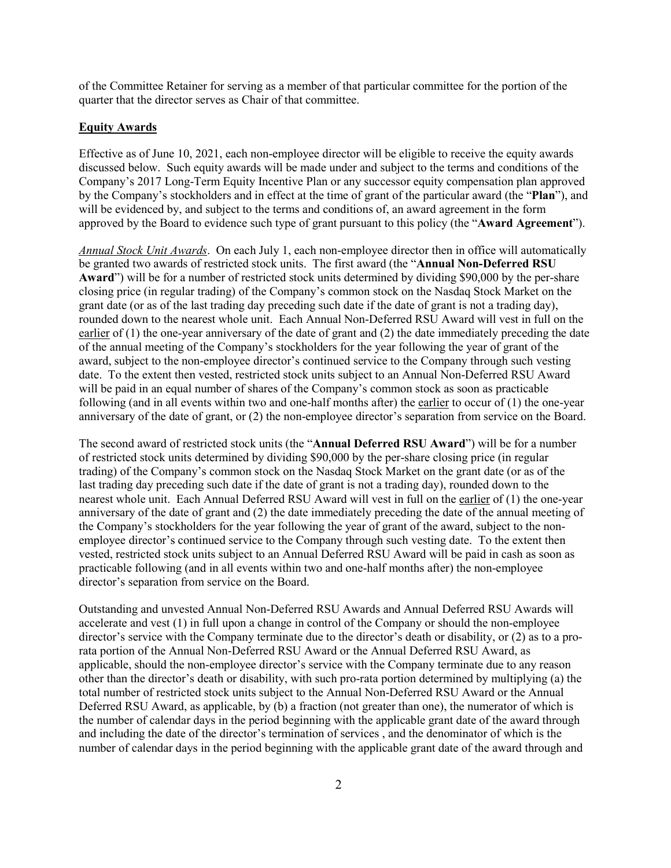of the Committee Retainer for serving as a member of that particular committee for the portion of the quarter that the director serves as Chair of that committee.

## **Equity Awards**

Effective as of June 10, 2021, each non-employee director will be eligible to receive the equity awards discussed below. Such equity awards will be made under and subject to the terms and conditions of the Company's 2017 Long-Term Equity Incentive Plan or any successor equity compensation plan approved by the Company's stockholders and in effect at the time of grant of the particular award (the "**Plan**"), and will be evidenced by, and subject to the terms and conditions of, an award agreement in the form approved by the Board to evidence such type of grant pursuant to this policy (the "**Award Agreement**").

*Annual Stock Unit Awards*. On each July 1, each non-employee director then in office will automatically be granted two awards of restricted stock units. The first award (the "**Annual Non-Deferred RSU Award**") will be for a number of restricted stock units determined by dividing \$90,000 by the per-share closing price (in regular trading) of the Company's common stock on the Nasdaq Stock Market on the grant date (or as of the last trading day preceding such date if the date of grant is not a trading day), rounded down to the nearest whole unit. Each Annual Non-Deferred RSU Award will vest in full on the earlier of (1) the one-year anniversary of the date of grant and (2) the date immediately preceding the date of the annual meeting of the Company's stockholders for the year following the year of grant of the award, subject to the non-employee director's continued service to the Company through such vesting date. To the extent then vested, restricted stock units subject to an Annual Non-Deferred RSU Award will be paid in an equal number of shares of the Company's common stock as soon as practicable following (and in all events within two and one-half months after) the earlier to occur of (1) the one-year anniversary of the date of grant, or (2) the non-employee director's separation from service on the Board.

The second award of restricted stock units (the "**Annual Deferred RSU Award**") will be for a number of restricted stock units determined by dividing \$90,000 by the per-share closing price (in regular trading) of the Company's common stock on the Nasdaq Stock Market on the grant date (or as of the last trading day preceding such date if the date of grant is not a trading day), rounded down to the nearest whole unit. Each Annual Deferred RSU Award will vest in full on the earlier of (1) the one-year anniversary of the date of grant and (2) the date immediately preceding the date of the annual meeting of the Company's stockholders for the year following the year of grant of the award, subject to the nonemployee director's continued service to the Company through such vesting date. To the extent then vested, restricted stock units subject to an Annual Deferred RSU Award will be paid in cash as soon as practicable following (and in all events within two and one-half months after) the non-employee director's separation from service on the Board.

Outstanding and unvested Annual Non-Deferred RSU Awards and Annual Deferred RSU Awards will accelerate and vest (1) in full upon a change in control of the Company or should the non-employee director's service with the Company terminate due to the director's death or disability, or (2) as to a prorata portion of the Annual Non-Deferred RSU Award or the Annual Deferred RSU Award, as applicable, should the non-employee director's service with the Company terminate due to any reason other than the director's death or disability, with such pro-rata portion determined by multiplying (a) the total number of restricted stock units subject to the Annual Non-Deferred RSU Award or the Annual Deferred RSU Award, as applicable, by (b) a fraction (not greater than one), the numerator of which is the number of calendar days in the period beginning with the applicable grant date of the award through and including the date of the director's termination of services , and the denominator of which is the number of calendar days in the period beginning with the applicable grant date of the award through and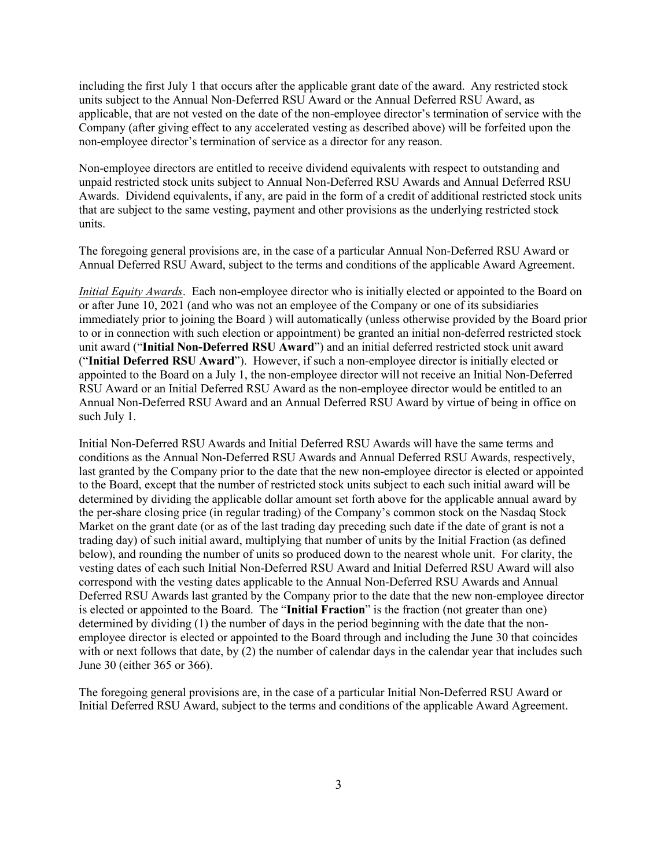including the first July 1 that occurs after the applicable grant date of the award. Any restricted stock units subject to the Annual Non-Deferred RSU Award or the Annual Deferred RSU Award, as applicable, that are not vested on the date of the non-employee director's termination of service with the Company (after giving effect to any accelerated vesting as described above) will be forfeited upon the non-employee director's termination of service as a director for any reason.

Non-employee directors are entitled to receive dividend equivalents with respect to outstanding and unpaid restricted stock units subject to Annual Non-Deferred RSU Awards and Annual Deferred RSU Awards. Dividend equivalents, if any, are paid in the form of a credit of additional restricted stock units that are subject to the same vesting, payment and other provisions as the underlying restricted stock units.

The foregoing general provisions are, in the case of a particular Annual Non-Deferred RSU Award or Annual Deferred RSU Award, subject to the terms and conditions of the applicable Award Agreement.

*Initial Equity Awards*. Each non-employee director who is initially elected or appointed to the Board on or after June 10, 2021 (and who was not an employee of the Company or one of its subsidiaries immediately prior to joining the Board ) will automatically (unless otherwise provided by the Board prior to or in connection with such election or appointment) be granted an initial non-deferred restricted stock unit award ("**Initial Non-Deferred RSU Award**") and an initial deferred restricted stock unit award ("**Initial Deferred RSU Award**"). However, if such a non-employee director is initially elected or appointed to the Board on a July 1, the non-employee director will not receive an Initial Non-Deferred RSU Award or an Initial Deferred RSU Award as the non-employee director would be entitled to an Annual Non-Deferred RSU Award and an Annual Deferred RSU Award by virtue of being in office on such July 1.

Initial Non-Deferred RSU Awards and Initial Deferred RSU Awards will have the same terms and conditions as the Annual Non-Deferred RSU Awards and Annual Deferred RSU Awards, respectively, last granted by the Company prior to the date that the new non-employee director is elected or appointed to the Board, except that the number of restricted stock units subject to each such initial award will be determined by dividing the applicable dollar amount set forth above for the applicable annual award by the per-share closing price (in regular trading) of the Company's common stock on the Nasdaq Stock Market on the grant date (or as of the last trading day preceding such date if the date of grant is not a trading day) of such initial award, multiplying that number of units by the Initial Fraction (as defined below), and rounding the number of units so produced down to the nearest whole unit. For clarity, the vesting dates of each such Initial Non-Deferred RSU Award and Initial Deferred RSU Award will also correspond with the vesting dates applicable to the Annual Non-Deferred RSU Awards and Annual Deferred RSU Awards last granted by the Company prior to the date that the new non-employee director is elected or appointed to the Board. The "**Initial Fraction**" is the fraction (not greater than one) determined by dividing (1) the number of days in the period beginning with the date that the nonemployee director is elected or appointed to the Board through and including the June 30 that coincides with or next follows that date, by  $(2)$  the number of calendar days in the calendar year that includes such June 30 (either 365 or 366).

The foregoing general provisions are, in the case of a particular Initial Non-Deferred RSU Award or Initial Deferred RSU Award, subject to the terms and conditions of the applicable Award Agreement.